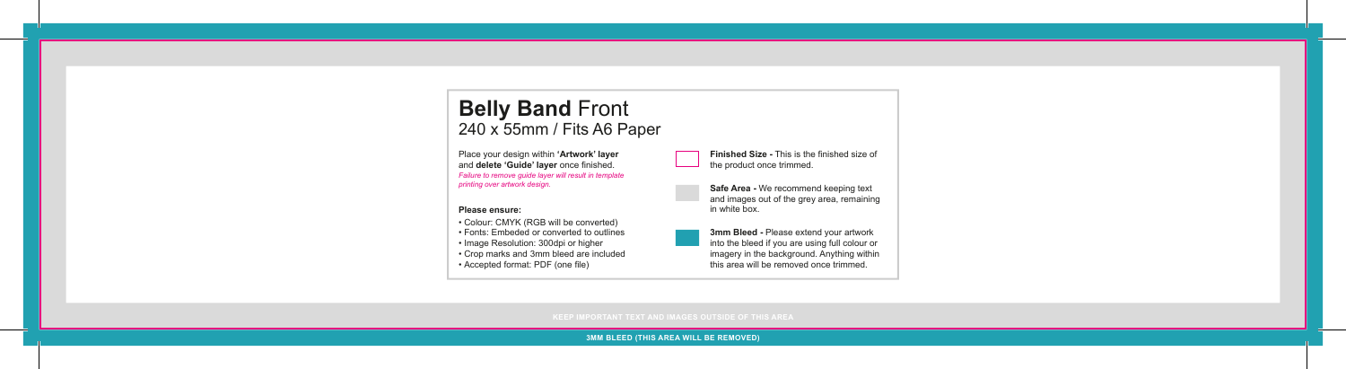## **Belly Band** Front 240 x 55mm / Fits A6 Paper

Place your design within **'Artwork' layer** and **delete 'Guide' layer** once finished. *Failure to remove guide layer will result in template printing over artwork design.*

## **Please ensure:**

- Colour: CMYK (RGB will be converted)
- Fonts: Embeded or converted to outlines
- Image Resolution: 300dpi or higher
- Crop marks and 3mm bleed are included
- Accepted format: PDF (one file)



**Safe Area -** We recommend keeping text and images out of the grey area, remaining in white box.

**3mm Bleed -** Please extend your artwork into the bleed if you are using full colour or imagery in the background. Anything within this area will be removed once trimmed.

**3MM BLEED (THIS AREA WILL BE REMOVED)**